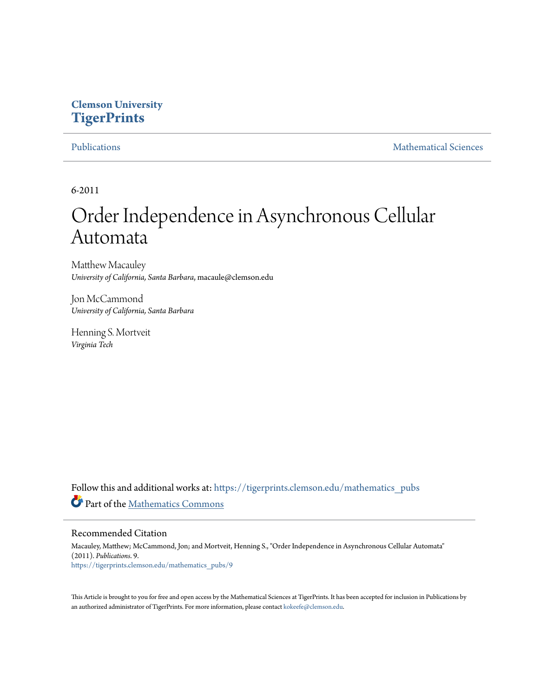## **Clemson University [TigerPrints](https://tigerprints.clemson.edu?utm_source=tigerprints.clemson.edu%2Fmathematics_pubs%2F9&utm_medium=PDF&utm_campaign=PDFCoverPages)**

[Publications](https://tigerprints.clemson.edu/mathematics_pubs?utm_source=tigerprints.clemson.edu%2Fmathematics_pubs%2F9&utm_medium=PDF&utm_campaign=PDFCoverPages) [Mathematical Sciences](https://tigerprints.clemson.edu/mathematics?utm_source=tigerprints.clemson.edu%2Fmathematics_pubs%2F9&utm_medium=PDF&utm_campaign=PDFCoverPages)

6-2011

# Order Independence in Asynchronous Cellular Automata

Matthew Macauley *University of California, Santa Barbara*, macaule@clemson.edu

Jon McCammond *University of California, Santa Barbara*

Henning S. Mortveit *Virginia Tech*

Follow this and additional works at: [https://tigerprints.clemson.edu/mathematics\\_pubs](https://tigerprints.clemson.edu/mathematics_pubs?utm_source=tigerprints.clemson.edu%2Fmathematics_pubs%2F9&utm_medium=PDF&utm_campaign=PDFCoverPages) Part of the [Mathematics Commons](http://network.bepress.com/hgg/discipline/174?utm_source=tigerprints.clemson.edu%2Fmathematics_pubs%2F9&utm_medium=PDF&utm_campaign=PDFCoverPages)

#### Recommended Citation

Macauley, Matthew; McCammond, Jon; and Mortveit, Henning S., "Order Independence in Asynchronous Cellular Automata" (2011). *Publications*. 9. [https://tigerprints.clemson.edu/mathematics\\_pubs/9](https://tigerprints.clemson.edu/mathematics_pubs/9?utm_source=tigerprints.clemson.edu%2Fmathematics_pubs%2F9&utm_medium=PDF&utm_campaign=PDFCoverPages)

This Article is brought to you for free and open access by the Mathematical Sciences at TigerPrints. It has been accepted for inclusion in Publications by an authorized administrator of TigerPrints. For more information, please contact [kokeefe@clemson.edu.](mailto:kokeefe@clemson.edu)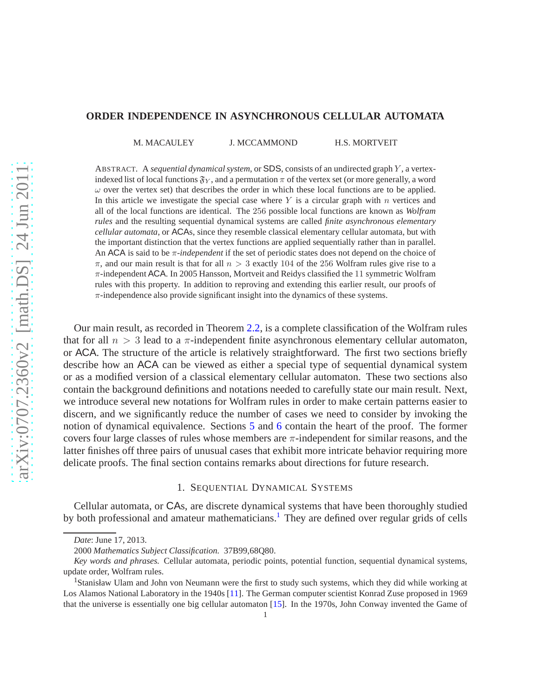#### **ORDER INDEPENDENCE IN ASYNCHRONOUS CELLULAR AUTOMATA**

M. MACAULEY J. MCCAMMOND H.S. MORTVEIT

ABSTRACT. A *sequential dynamical system*, or SDS, consists of an undirected graph Y , a vertexindexed list of local functions  $\mathfrak{F}_Y$ , and a permutation  $\pi$  of the vertex set (or more generally, a word  $\omega$  over the vertex set) that describes the order in which these local functions are to be applied. In this article we investigate the special case where  $Y$  is a circular graph with  $n$  vertices and all of the local functions are identical. The 256 possible local functions are known as *Wolfram rules* and the resulting sequential dynamical systems are called *finite asynchronous elementary cellular automata*, or ACAs, since they resemble classical elementary cellular automata, but with the important distinction that the vertex functions are applied sequentially rather than in parallel. An ACA is said to be π*-independent* if the set of periodic states does not depend on the choice of  $\pi$ , and our main result is that for all  $n > 3$  exactly 104 of the 256 Wolfram rules give rise to a  $\pi$ -independent ACA. In 2005 Hansson, Mortveit and Reidys classified the 11 symmetric Wolfram rules with this property. In addition to reproving and extending this earlier result, our proofs of  $\pi$ -independence also provide significant insight into the dynamics of these systems.

Our main result, as recorded in Theorem [2.2,](#page-5-0) is a complete classification of the Wolfram rules that for all  $n > 3$  lead to a  $\pi$ -independent finite asynchronous elementary cellular automaton, or ACA. The structure of the article is relatively straightforward. The first two sections briefly describe how an ACA can be viewed as either a special type of sequential dynamical system or as a modified version of a classical elementary cellular automaton. These two sections also contain the background definitions and notations needed to carefully state our main result. Next, we introduce several new notations for Wolfram rules in order to make certain patterns easier to discern, and we significantly reduce the number of cases we need to consider by invoking the notion of dynamical equivalence. Sections [5](#page-11-0) and [6](#page-13-0) contain the heart of the proof. The former covers four large classes of rules whose members are  $\pi$ -independent for similar reasons, and the latter finishes off three pairs of unusual cases that exhibit more intricate behavior requiring more delicate proofs. The final section contains remarks about directions for future research.

#### 1. SEQUENTIAL DYNAMICAL SYSTEMS

Cellular automata, or CAs, are discrete dynamical systems that have been thoroughly studied by both professional and amateur mathematicians.<sup>[1](#page-1-0)</sup> They are defined over regular grids of cells

*Date*: June 17, 2013.

<sup>2000</sup> *Mathematics Subject Classification.* 37B99,68Q80.

*Key words and phrases.* Cellular automata, periodic points, potential function, sequential dynamical systems, update order, Wolfram rules.

<span id="page-1-0"></span><sup>&</sup>lt;sup>1</sup>Stanisław Ulam and John von Neumann were the first to study such systems, which they did while working at Los Alamos National Laboratory in the 1940s [\[11](#page-18-0)]. The German computer scientist Konrad Zuse proposed in 1969 that the universe is essentially one big cellular automaton [\[15](#page-18-1)]. In the 1970s, John Conway invented the Game of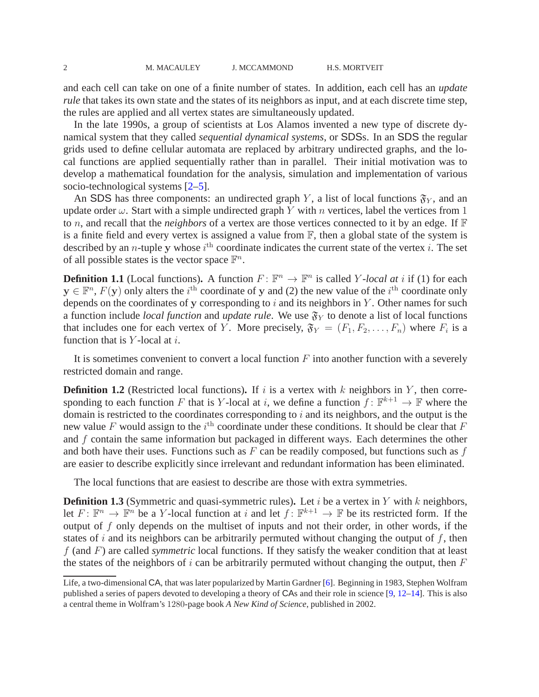and each cell can take on one of a finite number of states. In addition, each cell has an *update rule* that takes its own state and the states of its neighbors as input, and at each discrete time step, the rules are applied and all vertex states are simultaneously updated.

In the late 1990s, a group of scientists at Los Alamos invented a new type of discrete dynamical system that they called *sequential dynamical systems*, or SDSs. In an SDS the regular grids used to define cellular automata are replaced by arbitrary undirected graphs, and the local functions are applied sequentially rather than in parallel. Their initial motivation was to develop a mathematical foundation for the analysis, simulation and implementation of various socio-technological systems [\[2](#page-17-0)[–5](#page-17-1)].

An SDS has three components: an undirected graph Y, a list of local functions  $\mathfrak{F}_{Y}$ , and an update order  $\omega$ . Start with a simple undirected graph Y with n vertices, label the vertices from 1 to *n*, and recall that the *neighbors* of a vertex are those vertices connected to it by an edge. If  $\mathbb F$ is a finite field and every vertex is assigned a value from  $\mathbb{F}$ , then a global state of the system is described by an *n*-tuple y whose  $i^{\text{th}}$  coordinate indicates the current state of the vertex *i*. The set of all possible states is the vector space  $\mathbb{F}^n$ .

**Definition 1.1** (Local functions). A function  $F: \mathbb{F}^n \to \mathbb{F}^n$  is called Y-*local at i* if (1) for each  $y \in \mathbb{F}^n$ ,  $F(y)$  only alters the i<sup>th</sup> coordinate of y and (2) the new value of the i<sup>th</sup> coordinate only depends on the coordinates of y corresponding to  $i$  and its neighbors in  $Y$ . Other names for such a function include *local function* and *update rule*. We use  $\mathfrak{F}_Y$  to denote a list of local functions that includes one for each vertex of Y. More precisely,  $\mathfrak{F}_Y = (F_1, F_2, \ldots, F_n)$  where  $F_i$  is a function that is  $Y$ -local at i.

It is sometimes convenient to convert a local function  $F$  into another function with a severely restricted domain and range.

**Definition 1.2** (Restricted local functions). If i is a vertex with  $k$  neighbors in  $Y$ , then corresponding to each function F that is Y-local at i, we define a function  $f: \mathbb{F}^{k+1} \to \mathbb{F}$  where the domain is restricted to the coordinates corresponding to  $i$  and its neighbors, and the output is the new value F would assign to the  $i^{\text{th}}$  coordinate under these conditions. It should be clear that F and  $f$  contain the same information but packaged in different ways. Each determines the other and both have their uses. Functions such as  $F$  can be readily composed, but functions such as  $f$ are easier to describe explicitly since irrelevant and redundant information has been eliminated.

The local functions that are easiest to describe are those with extra symmetries.

**Definition 1.3** (Symmetric and quasi-symmetric rules). Let  $i$  be a vertex in  $Y$  with  $k$  neighbors, let  $F: \mathbb{F}^n \to \mathbb{F}^n$  be a Y-local function at i and let  $f: \mathbb{F}^{k+1} \to \mathbb{F}$  be its restricted form. If the output of  $f$  only depends on the multiset of inputs and not their order, in other words, if the states of i and its neighbors can be arbitrarily permuted without changing the output of  $f$ , then f (and F) are called *symmetric* local functions. If they satisfy the weaker condition that at least the states of the neighbors of  $i$  can be arbitrarily permuted without changing the output, then  $F$ 

Life, a two-dimensional CA, that was later popularized by Martin Gardner [\[6](#page-17-2)]. Beginning in 1983, Stephen Wolfram published a series of papers devoted to developing a theory of CAs and their role in science [\[9,](#page-18-2) [12](#page-18-3)[–14\]](#page-18-4). This is also a central theme in Wolfram's 1280-page book *A New Kind of Science*, published in 2002.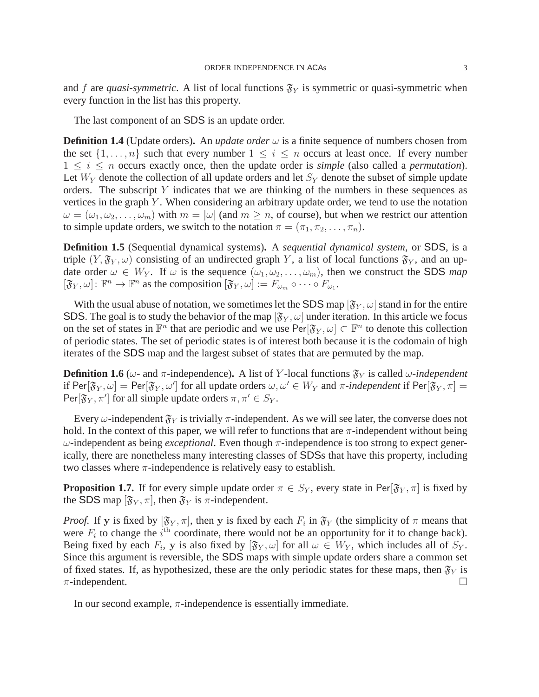and f are *quasi-symmetric*. A list of local functions  $\mathfrak{F}_Y$  is symmetric or quasi-symmetric when every function in the list has this property.

The last component of an SDS is an update order.

**Definition 1.4** (Update orders). An *update order*  $\omega$  is a finite sequence of numbers chosen from the set  $\{1, \ldots, n\}$  such that every number  $1 \leq i \leq n$  occurs at least once. If every number  $1 \leq i \leq n$  occurs exactly once, then the update order is *simple* (also called a *permutation*). Let  $W_Y$  denote the collection of all update orders and let  $S_Y$  denote the subset of simple update orders. The subscript  $Y$  indicates that we are thinking of the numbers in these sequences as vertices in the graph  $Y$ . When considering an arbitrary update order, we tend to use the notation  $\omega = (\omega_1, \omega_2, \dots, \omega_m)$  with  $m = |\omega|$  (and  $m \geq n$ , of course), but when we restrict our attention to simple update orders, we switch to the notation  $\pi = (\pi_1, \pi_2, \dots, \pi_n)$ .

**Definition 1.5** (Sequential dynamical systems)**.** A *sequential dynamical system*, or SDS, is a triple  $(Y, \mathfrak{F}_Y, \omega)$  consisting of an undirected graph Y, a list of local functions  $\mathfrak{F}_Y$ , and an update order  $\omega \in W_Y$ . If  $\omega$  is the sequence  $(\omega_1, \omega_2, \dots, \omega_m)$ , then we construct the SDS *map*  $[\mathfrak{F}_{Y}, \omega]: \mathbb{F}^{n} \to \mathbb{F}^{n}$  as the composition  $[\mathfrak{F}_{Y}, \omega]:=F_{\omega_{m}} \circ \cdots \circ F_{\omega_{1}}$ .

With the usual abuse of notation, we sometimes let the SDS map  $[\mathfrak{F}_{Y}, \omega]$  stand in for the entire SDS. The goal is to study the behavior of the map  $[\mathfrak{F}_{Y}, \omega]$  under iteration. In this article we focus on the set of states in  $\mathbb{F}^n$  that are periodic and we use  $\text{Per}[\mathfrak{F}_Y,\omega] \subset \mathbb{F}^n$  to denote this collection of periodic states. The set of periodic states is of interest both because it is the codomain of high iterates of the SDS map and the largest subset of states that are permuted by the map.

**Definition 1.6** ( $\omega$ - and  $\pi$ -independence). A list of Y-local functions  $\mathfrak{F}_Y$  is called  $\omega$ -independent if  $\text{Per}[\mathfrak{F}_Y,\omega]=\text{Per}[\mathfrak{F}_Y,\omega']$  for all update orders  $\omega,\omega'\in W_Y$  and  $\pi$ -*independent* if  $\text{Per}[\mathfrak{F}_Y,\pi]=0$ Per $[\mathfrak{F}_Y, \pi']$  for all simple update orders  $\pi, \pi' \in S_Y$ .

Every  $\omega$ -independent  $\mathfrak{F}_Y$  is trivially  $\pi$ -independent. As we will see later, the converse does not hold. In the context of this paper, we will refer to functions that are  $\pi$ -independent without being ω-independent as being *exceptional*. Even though π-independence is too strong to expect generically, there are nonetheless many interesting classes of SDSs that have this property, including two classes where  $\pi$ -independence is relatively easy to establish.

<span id="page-3-0"></span>**Proposition 1.7.** If for every simple update order  $\pi \in S_Y$ , every state in Per $[\mathfrak{F}_Y, \pi]$  is fixed by the SDS map  $[\mathfrak{F}_Y, \pi]$ , then  $\mathfrak{F}_Y$  is  $\pi$ -independent.

*Proof.* If y is fixed by  $[\mathfrak{F}_Y, \pi]$ , then y is fixed by each  $F_i$  in  $\mathfrak{F}_Y$  (the simplicity of  $\pi$  means that were  $F_i$  to change the  $i^{\text{th}}$  coordinate, there would not be an opportunity for it to change back). Being fixed by each  $F_i$ , y is also fixed by  $[\mathfrak{F}_Y, \omega]$  for all  $\omega \in W_Y$ , which includes all of  $S_Y$ . Since this argument is reversible, the SDS maps with simple update orders share a common set of fixed states. If, as hypothesized, these are the only periodic states for these maps, then  $\mathfrak{F}_Y$  is  $\pi$ -independent.

In our second example,  $\pi$ -independence is essentially immediate.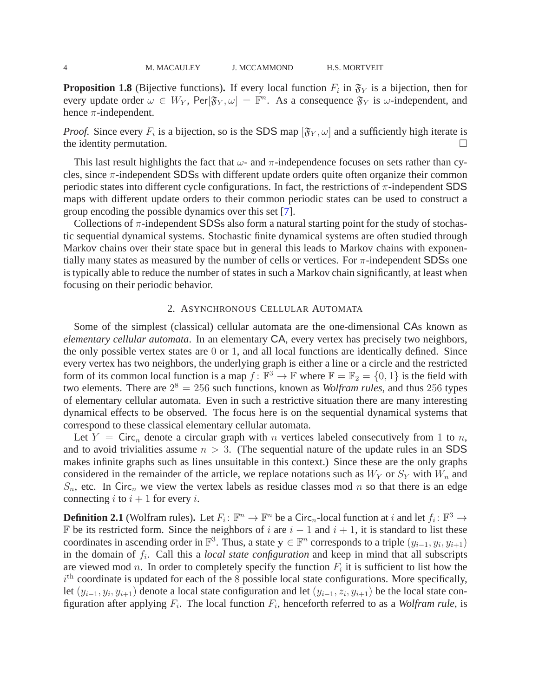<span id="page-4-0"></span>**Proposition 1.8** (Bijective functions). If every local function  $F_i$  in  $\mathfrak{F}_Y$  is a bijection, then for every update order  $\omega \in W_Y$ , Per $[\mathfrak{F}_Y, \omega] = \mathbb{F}^n$ . As a consequence  $\mathfrak{F}_Y$  is  $\omega$ -independent, and hence  $\pi$ -independent.

*Proof.* Since every  $F_i$  is a bijection, so is the SDS map  $[\mathfrak{F}_Y, \omega]$  and a sufficiently high iterate is the identity permutation.  $\Box$ 

This last result highlights the fact that  $\omega$ - and  $\pi$ -independence focuses on sets rather than cycles, since  $\pi$ -independent SDSs with different update orders quite often organize their common periodic states into different cycle configurations. In fact, the restrictions of  $\pi$ -independent SDS maps with different update orders to their common periodic states can be used to construct a group encoding the possible dynamics over this set [\[7\]](#page-17-3).

Collections of  $\pi$ -independent SDSs also form a natural starting point for the study of stochastic sequential dynamical systems. Stochastic finite dynamical systems are often studied through Markov chains over their state space but in general this leads to Markov chains with exponentially many states as measured by the number of cells or vertices. For  $\pi$ -independent SDSs one is typically able to reduce the number of states in such a Markov chain significantly, at least when focusing on their periodic behavior.

#### 2. ASYNCHRONOUS CELLULAR AUTOMATA

Some of the simplest (classical) cellular automata are the one-dimensional CAs known as *elementary cellular automata*. In an elementary CA, every vertex has precisely two neighbors, the only possible vertex states are 0 or 1, and all local functions are identically defined. Since every vertex has two neighbors, the underlying graph is either a line or a circle and the restricted form of its common local function is a map  $f: \mathbb{F}^3 \to \mathbb{F}$  where  $\mathbb{F} = \mathbb{F}_2 = \{0, 1\}$  is the field with two elements. There are  $2^8 = 256$  such functions, known as *Wolfram rules*, and thus 256 types of elementary cellular automata. Even in such a restrictive situation there are many interesting dynamical effects to be observed. The focus here is on the sequential dynamical systems that correspond to these classical elementary cellular automata.

Let  $Y = \text{Circ}_n$  denote a circular graph with n vertices labeled consecutively from 1 to n, and to avoid trivialities assume  $n > 3$ . (The sequential nature of the update rules in an SDS makes infinite graphs such as lines unsuitable in this context.) Since these are the only graphs considered in the remainder of the article, we replace notations such as  $W<sub>Y</sub>$  or  $S<sub>Y</sub>$  with  $W<sub>n</sub>$  and  $S_n$ , etc. In Circ<sub>n</sub> we view the vertex labels as residue classes mod n so that there is an edge connecting i to  $i + 1$  for every i.

**Definition 2.1** (Wolfram rules). Let  $F_i: \mathbb{F}^n \to \mathbb{F}^n$  be a Circ<sub>n</sub>-local function at i and let  $f_i: \mathbb{F}^3 \to$ F be its restricted form. Since the neighbors of *i* are  $i - 1$  and  $i + 1$ , it is standard to list these coordinates in ascending order in  $\mathbb{F}^3$ . Thus, a state  $y \in \mathbb{F}^n$  corresponds to a triple  $(y_{i-1}, y_i, y_{i+1})$ in the domain of  $f_i$ . Call this a *local state configuration* and keep in mind that all subscripts are viewed mod n. In order to completely specify the function  $F_i$  it is sufficient to list how the  $i<sup>th</sup>$  coordinate is updated for each of the 8 possible local state configurations. More specifically, let  $(y_{i-1}, y_i, y_{i+1})$  denote a local state configuration and let  $(y_{i-1}, z_i, y_{i+1})$  be the local state configuration after applying  $F_i$ . The local function  $F_i$ , henceforth referred to as a *Wolfram rule*, is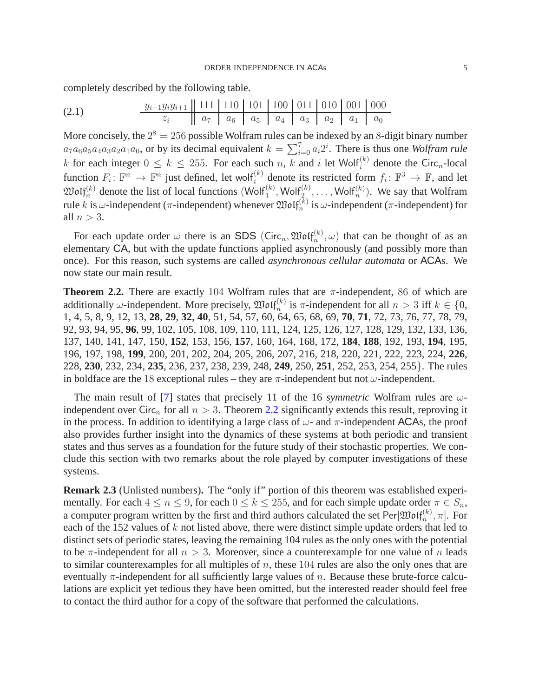completely described by the following table.

(2.1) 
$$
\frac{y_{i-1}y_{i}y_{i+1}}{z_{i}} \left\| \frac{111}{a_{7}} \frac{110}{a_{6}} \frac{101}{a_{5}} \frac{100}{a_{4}} \frac{011}{a_{3}} \frac{010}{a_{2}} \frac{001}{a_{1}} \frac{000}{a_{0}} \right\|
$$

More concisely, the  $2^8 = 256$  possible Wolfram rules can be indexed by an 8-digit binary number  $a_7a_6a_5a_4a_3a_2a_1a_0$ , or by its decimal equivalent  $k = \sum_{i=0}^{7} a_i 2^i$ . There is thus one *Wolfram rule* k for each integer  $0 \le k \le 255$ . For each such n, k and i let Wolf<sup>(k)</sup> denote the Circ<sub>n</sub>-local function  $F_i: \mathbb{F}^n \to \mathbb{F}^n$  just defined, let wolf<sup>(k)</sup> denote its restricted form  $f_i: \mathbb{F}^3 \to \mathbb{F}$ , and let  $\mathfrak{W}\text{o}\text{If}_{n}^{(k)}$  denote the list of local functions  $(\text{W}\text{o}\text{If}_{1}^{(k)}, \text{W}\text{o}\text{If}_{2}^{(k)}, \ldots, \text{W}\text{o}\text{If}_{n}^{(k)})$ . We say that Wolfram rule k is  $\omega$ -independent ( $\pi$ -independent) whenever  $\mathfrak{Mod}(\mathfrak{f}_n^{(k)})$  is  $\omega$ -independent ( $\pi$ -independent) for all  $n > 3$ .

For each update order  $\omega$  there is an SDS (Circ<sub>n</sub>,  $\mathfrak{Mod}_{n}^{(k)}$ ,  $\omega$ ) that can be thought of as an elementary CA, but with the update functions applied asynchronously (and possibly more than once). For this reason, such systems are called *asynchronous cellular automata* or ACAs. We now state our main result.

<span id="page-5-0"></span>**Theorem 2.2.** There are exactly 104 Wolfram rules that are  $\pi$ -independent, 86 of which are additionally w-independent. More precisely,  $\mathfrak{Mod}(\mathfrak{f}_n^{(k)})$  is  $\pi$ -independent for all  $n > 3$  iff  $k \in \{0,$ 1, 4, 5, 8, 9, 12, 13, **28**, **29**, **32**, **40**, 51, 54, 57, 60, 64, 65, 68, 69, **70**, **71**, 72, 73, 76, 77, 78, 79, 92, 93, 94, 95, **96**, 99, 102, 105, 108, 109, 110, 111, 124, 125, 126, 127, 128, 129, 132, 133, 136, 137, 140, 141, 147, 150, **152**, 153, 156, **157**, 160, 164, 168, 172, **184**, **188**, 192, 193, **194**, 195, 196, 197, 198, **199**, 200, 201, 202, 204, 205, 206, 207, 216, 218, 220, 221, 222, 223, 224, **226**, 228, **230**, 232, 234, **235**, 236, 237, 238, 239, 248, **249**, 250, **251**, 252, 253, 254, 255}. The rules in boldface are the 18 exceptional rules – they are  $\pi$ -independent but not  $\omega$ -independent.

The main result of [\[7](#page-17-3)] states that precisely 11 of the 16 *symmetric* Wolfram rules are  $\omega$ independent over Circ<sub>n</sub> for all  $n > 3$ . Theorem [2.2](#page-5-0) significantly extends this result, reproving it in the process. In addition to identifying a large class of  $\omega$ - and  $\pi$ -independent ACAs, the proof also provides further insight into the dynamics of these systems at both periodic and transient states and thus serves as a foundation for the future study of their stochastic properties. We conclude this section with two remarks about the role played by computer investigations of these systems.

**Remark 2.3** (Unlisted numbers)**.** The "only if" portion of this theorem was established experimentally. For each  $4 \le n \le 9$ , for each  $0 \le k \le 255$ , and for each simple update order  $\pi \in S_n$ , a computer program written by the first and third authors calculated the set  $\text{Per}[\mathfrak{W}\mathfrak{olf}_n^{(k)}, \pi]$ . For each of the 152 values of k not listed above, there were distinct simple update orders that led to distinct sets of periodic states, leaving the remaining 104 rules as the only ones with the potential to be  $\pi$ -independent for all  $n > 3$ . Moreover, since a counterexample for one value of n leads to similar counterexamples for all multiples of  $n$ , these 104 rules are also the only ones that are eventually  $\pi$ -independent for all sufficiently large values of n. Because these brute-force calculations are explicit yet tedious they have been omitted, but the interested reader should feel free to contact the third author for a copy of the software that performed the calculations.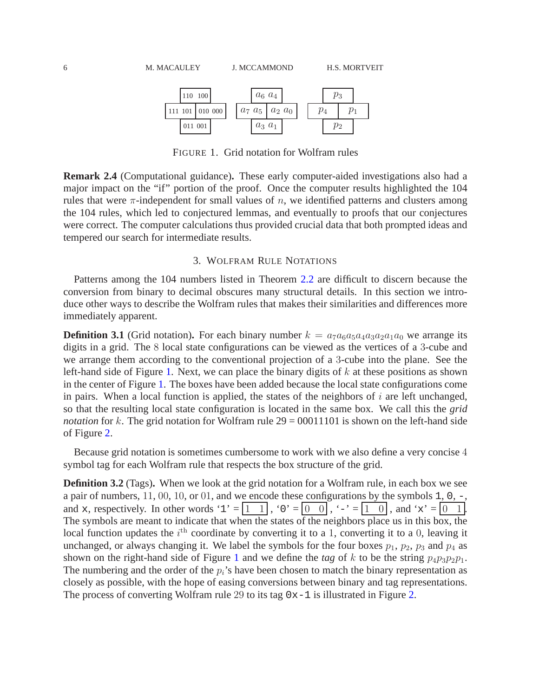

<span id="page-6-0"></span>FIGURE 1. Grid notation for Wolfram rules

**Remark 2.4** (Computational guidance)**.** These early computer-aided investigations also had a major impact on the "if" portion of the proof. Once the computer results highlighted the 104 rules that were  $\pi$ -independent for small values of n, we identified patterns and clusters among the 104 rules, which led to conjectured lemmas, and eventually to proofs that our conjectures were correct. The computer calculations thus provided crucial data that both prompted ideas and tempered our search for intermediate results.

#### 3. WOLFRAM RULE NOTATIONS

Patterns among the 104 numbers listed in Theorem [2.2](#page-5-0) are difficult to discern because the conversion from binary to decimal obscures many structural details. In this section we introduce other ways to describe the Wolfram rules that makes their similarities and differences more immediately apparent.

**Definition 3.1** (Grid notation). For each binary number  $k = a_7a_6a_5a_4a_3a_2a_1a_0$  we arrange its digits in a grid. The 8 local state configurations can be viewed as the vertices of a 3-cube and we arrange them according to the conventional projection of a 3-cube into the plane. See the left-hand side of Figure [1.](#page-6-0) Next, we can place the binary digits of  $k$  at these positions as shown in the center of Figure [1.](#page-6-0) The boxes have been added because the local state configurations come in pairs. When a local function is applied, the states of the neighbors of  $i$  are left unchanged, so that the resulting local state configuration is located in the same box. We call this the *grid notation* for k. The grid notation for Wolfram rule  $29 = 00011101$  is shown on the left-hand side of Figure [2.](#page-7-0)

Because grid notation is sometimes cumbersome to work with we also define a very concise 4 symbol tag for each Wolfram rule that respects the box structure of the grid.

**Definition 3.2** (Tags)**.** When we look at the grid notation for a Wolfram rule, in each box we see a pair of numbers, 11, 00, 10, or 01, and we encode these configurations by the symbols 1, 0, -, and x, respectively. In other words '1' =  $\boxed{1 \quad 1}$ , '0' =  $\boxed{0 \quad 0}$ , '-' =  $\boxed{1 \quad 0}$ , and 'x' =  $\boxed{0 \quad 1}$ . The symbols are meant to indicate that when the states of the neighbors place us in this box, the local function updates the  $i<sup>th</sup>$  coordinate by converting it to a 1, converting it to a 0, leaving it unchanged, or always changing it. We label the symbols for the four boxes  $p_1$ ,  $p_2$ ,  $p_3$  and  $p_4$  as shown on the right-hand side of Figure [1](#page-6-0) and we define the *tag* of k to be the string  $p_4p_3p_2p_1$ . The numbering and the order of the  $p_i$ 's have been chosen to match the binary representation as closely as possible, with the hope of easing conversions between binary and tag representations. The process of converting Wolfram rule 29 to its tag  $0x-1$  is illustrated in Figure [2.](#page-7-0)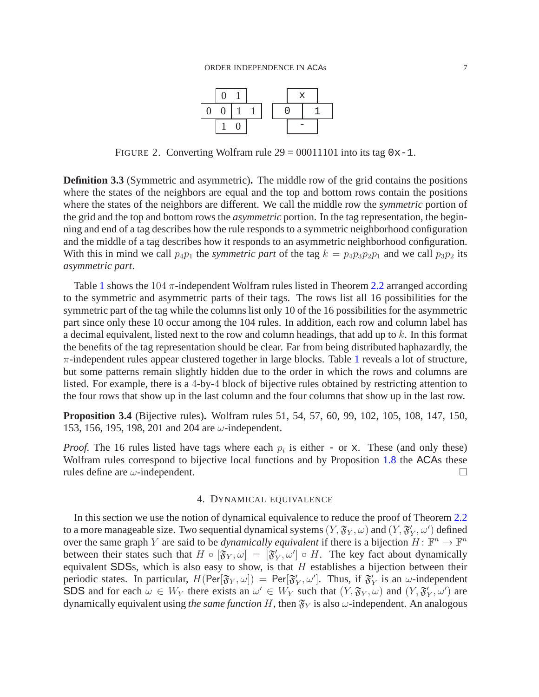

<span id="page-7-0"></span>FIGURE 2. Converting Wolfram rule  $29 = 00011101$  into its tag  $0x-1$ .

**Definition 3.3** (Symmetric and asymmetric)**.** The middle row of the grid contains the positions where the states of the neighbors are equal and the top and bottom rows contain the positions where the states of the neighbors are different. We call the middle row the *symmetric* portion of the grid and the top and bottom rows the *asymmetric* portion. In the tag representation, the beginning and end of a tag describes how the rule responds to a symmetric neighborhood configuration and the middle of a tag describes how it responds to an asymmetric neighborhood configuration. With this in mind we call  $p_4p_1$  the *symmetric part* of the tag  $k = p_4p_3p_2p_1$  and we call  $p_3p_2$  its *asymmetric part*.

Table [1](#page-8-0) shows the 104  $\pi$ -independent Wolfram rules listed in Theorem [2.2](#page-5-0) arranged according to the symmetric and asymmetric parts of their tags. The rows list all 16 possibilities for the symmetric part of the tag while the columns list only 10 of the 16 possibilities for the asymmetric part since only these 10 occur among the 104 rules. In addition, each row and column label has a decimal equivalent, listed next to the row and column headings, that add up to k. In this format the benefits of the tag representation should be clear. Far from being distributed haphazardly, the  $\pi$ -independent rules appear clustered together in large blocks. Table [1](#page-8-0) reveals a lot of structure, but some patterns remain slightly hidden due to the order in which the rows and columns are listed. For example, there is a 4-by-4 block of bijective rules obtained by restricting attention to the four rows that show up in the last column and the four columns that show up in the last row.

**Proposition 3.4** (Bijective rules)**.** Wolfram rules 51, 54, 57, 60, 99, 102, 105, 108, 147, 150, 153, 156, 195, 198, 201 and 204 are  $\omega$ -independent.

*Proof.* The 16 rules listed have tags where each  $p_i$  is either - or x. These (and only these) Wolfram rules correspond to bijective local functions and by Proposition [1.8](#page-4-0) the ACAs these rules define are  $\omega$ -independent.

#### 4. DYNAMICAL EQUIVALENCE

In this section we use the notion of dynamical equivalence to reduce the proof of Theorem [2.2](#page-5-0) to a more manageable size. Two sequential dynamical systems  $(Y, \mathfrak{F}_Y, \omega)$  and  $(Y, \mathfrak{F}'_Y, \omega')$  defined over the same graph Y are said to be *dynamically equivalent* if there is a bijection  $H: \mathbb{F}^n \to \mathbb{F}^n$ between their states such that  $H \circ [\mathfrak{F}_Y, \omega] = [\mathfrak{F}'_Y, \omega'] \circ H$ . The key fact about dynamically equivalent SDSs, which is also easy to show, is that  $H$  establishes a bijection between their periodic states. In particular,  $H(\text{Per}[\mathfrak{F}_Y,\omega]) = \text{Per}[\mathfrak{F}'_Y,\omega']$ . Thus, if  $\mathfrak{F}'_Y$  is an  $\omega$ -independent SDS and for each  $\omega \in W_Y$  there exists an  $\omega' \in W_Y$  such that  $(Y, \mathfrak{F}_Y, \omega)$  and  $(Y, \mathfrak{F}_Y', \omega')$  are dynamically equivalent using *the same function* H, then  $\mathfrak{F}_Y$  is also  $\omega$ -independent. An analogous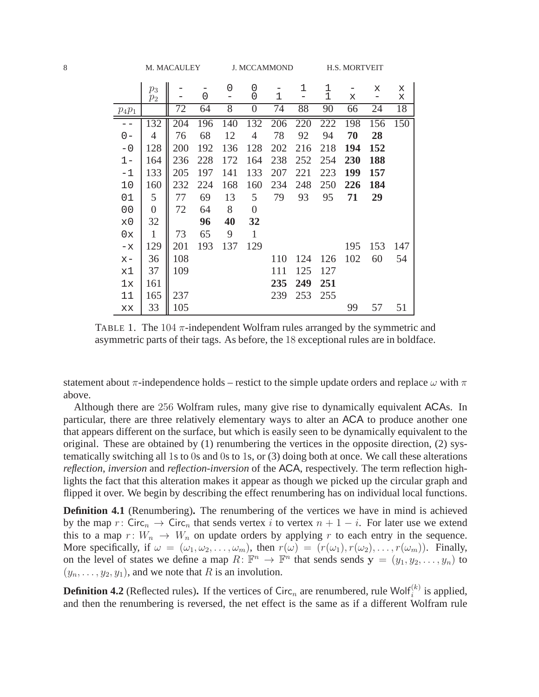|                | $p_3$            |     |     | 0     | 0                |     | 1   | $\mathbf{1}$ |     | Х   | X   |
|----------------|------------------|-----|-----|-------|------------------|-----|-----|--------------|-----|-----|-----|
|                | $p_2$            |     | 0   |       | 0                | 1   |     | 1            | х   |     | х   |
| $p_4p_1$       |                  | 72  | 64  | 8     | 0                | 74  | 88  | 90           | 66  | 24  | 18  |
|                | 132              | 204 | 196 | 140   | 132              | 206 | 220 | 222          | 198 | 156 | 150 |
| $0 -$          | $\overline{4}$   | 76  | 68  | 12    | $\overline{4}$   | 78  | 92  | 94           | 70  | 28  |     |
| $-0$           | 128              | 200 | 192 | 136   | 128              | 202 | 216 | 218          | 194 | 152 |     |
| $1 -$          | 164              | 236 | 228 | 172   | 164              | 238 | 252 | 254          | 230 | 188 |     |
| $-1$           | 133              | 205 | 197 | 141   | 133              | 207 | 221 | 223          | 199 | 157 |     |
| 10             | 160              | 232 | 224 | 168   | 160              | 234 | 248 | 250          | 226 | 184 |     |
| 01             | 5                | 77  | 69  | 13    | 5                | 79  | 93  | 95           | 71  | 29  |     |
| 0 <sub>0</sub> | $\boldsymbol{0}$ | 72  | 64  | $8\,$ | $\boldsymbol{0}$ |     |     |              |     |     |     |
| x0             | 32               |     | 96  | 40    | 32               |     |     |              |     |     |     |
| 0x             | $\,1$            | 73  | 65  | 9     | $\mathbf{1}$     |     |     |              |     |     |     |
| $-x$           | 129              | 201 | 193 | 137   | 129              |     |     |              | 195 | 153 | 147 |
| $X -$          | 36               | 108 |     |       |                  | 110 | 124 | 126          | 102 | 60  | 54  |
| x1             | 37               | 109 |     |       |                  | 111 | 125 | 127          |     |     |     |
| 1x             | 161              |     |     |       |                  | 235 | 249 | 251          |     |     |     |
| 11             | 165              | 237 |     |       |                  | 239 | 253 | 255          |     |     |     |
| XX             | 33               | 105 |     |       |                  |     |     |              | 99  | 57  | 51  |

<span id="page-8-0"></span>TABLE 1. The  $104 \pi$ -independent Wolfram rules arranged by the symmetric and asymmetric parts of their tags. As before, the 18 exceptional rules are in boldface.

statement about  $\pi$ -independence holds – restict to the simple update orders and replace  $\omega$  with  $\pi$ above.

Although there are 256 Wolfram rules, many give rise to dynamically equivalent ACAs. In particular, there are three relatively elementary ways to alter an ACA to produce another one that appears different on the surface, but which is easily seen to be dynamically equivalent to the original. These are obtained by  $(1)$  renumbering the vertices in the opposite direction,  $(2)$  systematically switching all 1s to 0s and 0s to 1s, or (3) doing both at once. We call these alterations *reflection*, *inversion* and *reflection-inversion* of the ACA, respectively. The term reflection highlights the fact that this alteration makes it appear as though we picked up the circular graph and flipped it over. We begin by describing the effect renumbering has on individual local functions.

**Definition 4.1** (Renumbering). The renumbering of the vertices we have in mind is achieved by the map r: Circ<sub>n</sub>  $\rightarrow$  Circ<sub>n</sub> that sends vertex i to vertex  $n + 1 - i$ . For later use we extend this to a map  $r: W_n \to W_n$  on update orders by applying r to each entry in the sequence. More specifically, if  $\omega = (\omega_1, \omega_2, \dots, \omega_m)$ , then  $r(\omega) = (r(\omega_1), r(\omega_2), \dots, r(\omega_m))$ . Finally, on the level of states we define a map  $R: \mathbb{F}^n \to \mathbb{F}^n$  that sends sends  $\mathbf{y} = (y_1, y_2, \dots, y_n)$  to  $(y_n, \ldots, y_2, y_1)$ , and we note that R is an involution.

**Definition 4.2** (Reflected rules). If the vertices of Circ<sub>n</sub> are renumbered, rule Wolf $_i^{(k)}$  is applied, and then the renumbering is reversed, the net effect is the same as if a different Wolfram rule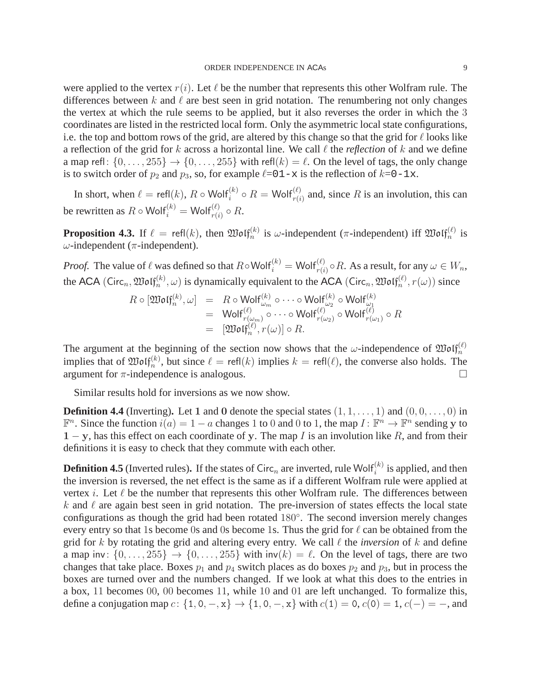were applied to the vertex  $r(i)$ . Let  $\ell$  be the number that represents this other Wolfram rule. The differences between k and  $\ell$  are best seen in grid notation. The renumbering not only changes the vertex at which the rule seems to be applied, but it also reverses the order in which the 3 coordinates are listed in the restricted local form. Only the asymmetric local state configurations, i.e. the top and bottom rows of the grid, are altered by this change so that the grid for  $\ell$  looks like a reflection of the grid for k across a horizontal line. We call  $\ell$  the *reflection* of k and we define a map refl:  $\{0, \ldots, 255\} \rightarrow \{0, \ldots, 255\}$  with refl $(k) = \ell$ . On the level of tags, the only change is to switch order of  $p_2$  and  $p_3$ , so, for example  $\ell = 01-x$  is the reflection of  $k=0-1x$ .

In short, when  $\ell = \text{refl}(k)$ ,  $R \circ \text{Wolf}_{i}^{(k)} \circ R = \text{Wolf}_{r(i)}^{(\ell)}$  and, since  $R$  is an involution, this can be rewritten as  $R \circ \textsf{Wolf}_i^{(k)} = \textsf{Wolf}_{r(i)}^{(\ell)} \circ R$ .

<span id="page-9-0"></span>**Proposition 4.3.** If  $\ell = \text{refl}(k)$ , then  $\mathfrak{W} \text{of} \mathfrak{f}_n^{(k)}$  is  $\omega$ -independent ( $\pi$ -independent) iff  $\mathfrak{W} \text{of} \mathfrak{f}_n^{(\ell)}$  is ω-independent (π-independent).

*Proof.* The value of  $\ell$  was defined so that  $R \circ \text{Wolf}_i^{(k)} = \text{Wolf}_{r(i)}^{(\ell)} \circ R$ . As a result, for any  $\omega \in W_n$ , the ACA (Circ<sub>n</sub>,  $\mathfrak{W}\mathfrak{of}^{(k)}_n, \omega$ ) is dynamically equivalent to the ACA (Circ<sub>n</sub>,  $\mathfrak{W}\mathfrak{of}^{(\ell)}_n, r(\omega)$ ) since

$$
R \circ [\mathfrak{W}\mathfrak{o}\mathfrak{l} \mathfrak{f}_{n}^{(k)}, \omega] = R \circ \mathsf{W}\mathsf{o}\mathsf{l}\mathfrak{f}_{\omega_{m}}^{(k)} \circ \cdots \circ \mathsf{W}\mathsf{o}\mathsf{l}\mathfrak{f}_{\omega_{2}}^{(k)} \circ \mathsf{W}\mathsf{o}\mathsf{l}\mathfrak{f}_{\omega_{1}}^{(k)}
$$
  
\n
$$
= \mathsf{W}\mathsf{o}\mathsf{l}\mathfrak{f}_{r(\omega_{m})}^{(\ell)} \circ \cdots \circ \mathsf{W}\mathsf{o}\mathsf{l}\mathfrak{f}_{r(\omega_{2})}^{(\ell)} \circ \mathsf{W}\mathsf{o}\mathsf{l}\mathfrak{f}_{r(\omega_{1})}^{(\ell)} \circ R
$$
  
\n
$$
= [\mathfrak{W}\mathsf{o}\mathsf{l}\mathfrak{f}_{n}^{(\ell)}, r(\omega)] \circ R.
$$

The argument at the beginning of the section now shows that the  $\omega$ -independence of  $\mathfrak{W}olf_n^{(\ell)}$ implies that of  $\mathfrak{W}\mathfrak{of}_n^{(k)}$ , but since  $\ell = \mathsf{refl}(k)$  implies  $k = \mathsf{refl}(\ell)$ , the converse also holds. The argument for  $\pi$ -independence is analogous.

Similar results hold for inversions as we now show.

**Definition 4.4** (Inverting). Let 1 and 0 denote the special states  $(1, 1, \ldots, 1)$  and  $(0, 0, \ldots, 0)$  in  $\mathbb{F}^n$ . Since the function  $i(a) = 1 - a$  changes 1 to 0 and 0 to 1, the map  $I: \mathbb{F}^n \to \mathbb{F}^n$  sending y to  $1 - y$ , has this effect on each coordinate of y. The map I is an involution like R, and from their definitions it is easy to check that they commute with each other.

**Definition 4.5** (Inverted rules). If the states of Circ<sub>n</sub> are inverted, rule Wolf $_i^{(k)}$  is applied, and then the inversion is reversed, the net effect is the same as if a different Wolfram rule were applied at vertex *i*. Let  $\ell$  be the number that represents this other Wolfram rule. The differences between k and  $\ell$  are again best seen in grid notation. The pre-inversion of states effects the local state configurations as though the grid had been rotated 180◦ . The second inversion merely changes every entry so that 1s become 0s and 0s become 1s. Thus the grid for  $\ell$  can be obtained from the grid for k by rotating the grid and altering every entry. We call  $\ell$  the *inversion* of k and define a map inv:  $\{0, \ldots, 255\} \rightarrow \{0, \ldots, 255\}$  with inv $(k) = \ell$ . On the level of tags, there are two changes that take place. Boxes  $p_1$  and  $p_4$  switch places as do boxes  $p_2$  and  $p_3$ , but in process the boxes are turned over and the numbers changed. If we look at what this does to the entries in a box, 11 becomes 00, 00 becomes 11, while 10 and 01 are left unchanged. To formalize this, define a conjugation map  $c: \{1, 0, -x\} \rightarrow \{1, 0, -x\}$  with  $c(1) = 0, c(0) = 1, c(-) = -$ , and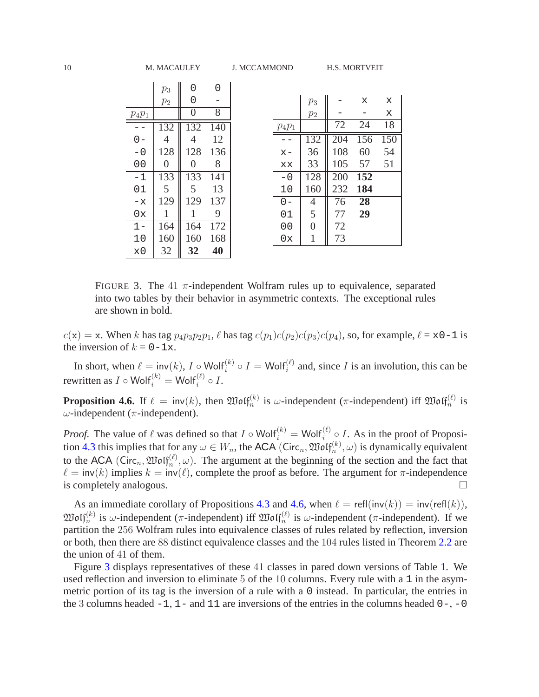|                | $p_3$          | Ω        | Ⴖ                |
|----------------|----------------|----------|------------------|
|                | $p_2$          | 0        |                  |
| $p_4p_1$       |                | 0        | 8                |
|                | 132            | 132      | $14\overline{0}$ |
| ი –            | 4              | 4        | 12               |
| $-0$           | 128            | 128      | 136              |
| 0 <sub>0</sub> | $\overline{0}$ | $\Omega$ | 8                |
| -1             | 133            | 133      | 141              |
| 01             | 5              | 5        | 13               |
| $-x$           | 129            | 129      | 137              |
| 0x             | 1              | 1        | 9                |
| 1 –            | 164            | 164      | 172              |
| 10             | 160            | 160      | 168              |
| $\times 0$     | 32             | 32       | 40               |

|          | $p_3$    |     | X   | X   |
|----------|----------|-----|-----|-----|
|          | $p_2$    |     |     | X   |
| $p_4p_1$ |          | 72  | 24  | 18  |
|          | 132      | 204 | 156 | 150 |
| $x-$     | 36       | 108 | 60  | 54  |
| XX       | 33       | 105 | 57  | 51  |
| - 0      | 128      | 200 | 152 |     |
| 10       | 160      | 232 | 184 |     |
| $0 -$    | 4        | 76  | 28  |     |
| 01       | 5        | 77  | 29  |     |
| 00       | $\Omega$ | 72  |     |     |
| 0x       |          | 73  |     |     |

<span id="page-10-1"></span>FIGURE 3. The 41  $\pi$ -independent Wolfram rules up to equivalence, separated into two tables by their behavior in asymmetric contexts. The exceptional rules are shown in bold.

 $c(\mathbf{x}) = \mathbf{x}$ . When k has tag  $p_4p_3p_2p_1$ ,  $\ell$  has tag  $c(p_1)c(p_2)c(p_3)c(p_4)$ , so, for example,  $\ell = \mathbf{x}0 - 1$  is the inversion of  $k = 0-1x$ .

In short, when  $\ell = inv(k)$ ,  $I \circ Wolf_i^{(k)} \circ I = Wolf_i^{(\ell)}$  and, since I is an involution, this can be rewritten as  $I \circ \text{Wolf}_i^{(k)} = \text{Wolf}_i^{(\ell)} \circ I$ .

<span id="page-10-0"></span>**Proposition 4.6.** If  $\ell = inv(k)$ , then  $\mathfrak{W}olf_n^{(k)}$  is  $\omega$ -independent ( $\pi$ -independent) iff  $\mathfrak{W}olf_n^{(\ell)}$  is ω-independent (π-independent).

*Proof.* The value of  $\ell$  was defined so that  $I \circ \text{Wolf}_i^{(k)} = \text{Wolf}_i^{(\ell)} \circ I$ . As in the proof of Proposi-tion [4.3](#page-9-0) this implies that for any  $\omega \in W_n$ , the ACA (Circ<sub>n</sub>,  $\mathfrak{Mod}_{n}^{(k)}(\omega)$  is dynamically equivalent to the ACA (Circ<sub>n</sub>,  $\mathfrak{Mod}_{n}^{(\ell)}(\omega)$ ). The argument at the beginning of the section and the fact that  $\ell = \text{inv}(k)$  implies  $k = \text{inv}(\ell)$ , complete the proof as before. The argument for  $\pi$ -independence is completely analogous.  $\Box$ 

As an immediate corollary of Propositions [4.3](#page-9-0) and [4.6,](#page-10-0) when  $\ell = \text{refl}(\text{inv}(k)) = \text{inv}(\text{refl}(k)),$  $\mathfrak{W}\mathfrak{of}_n^{(k)}$  is  $\omega$ -independent ( $\pi$ -independent) iff  $\mathfrak{W}\mathfrak{of}_n^{(\ell)}$  is  $\omega$ -independent ( $\pi$ -independent). If we partition the 256 Wolfram rules into equivalence classes of rules related by reflection, inversion or both, then there are 88 distinct equivalence classes and the 104 rules listed in Theorem [2.2](#page-5-0) are the union of 41 of them.

Figure [3](#page-10-1) displays representatives of these 41 classes in pared down versions of Table [1.](#page-8-0) We used reflection and inversion to eliminate 5 of the 10 columns. Every rule with a 1 in the asymmetric portion of its tag is the inversion of a rule with a 0 instead. In particular, the entries in the 3 columns headed  $-1$ ,  $1-$  and  $11$  are inversions of the entries in the columns headed  $0-$ ,  $-0$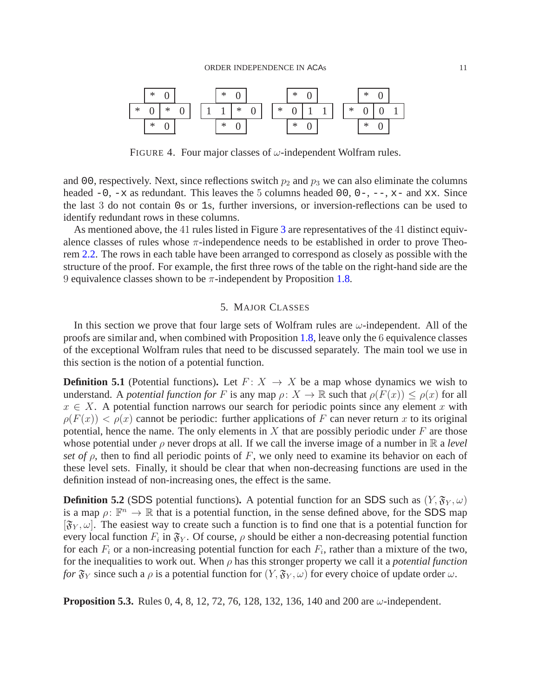

<span id="page-11-1"></span>FIGURE 4. Four major classes of  $\omega$ -independent Wolfram rules.

and 00, respectively. Next, since reflections switch  $p_2$  and  $p_3$  we can also eliminate the columns headed  $-0$ ,  $-x$  as redundant. This leaves the 5 columns headed 00, 0-,  $-$ , x- and xx. Since the last 3 do not contain 0s or 1s, further inversions, or inversion-reflections can be used to identify redundant rows in these columns.

As mentioned above, the 41 rules listed in Figure [3](#page-10-1) are representatives of the 41 distinct equivalence classes of rules whose  $\pi$ -independence needs to be established in order to prove Theorem [2.2.](#page-5-0) The rows in each table have been arranged to correspond as closely as possible with the structure of the proof. For example, the first three rows of the table on the right-hand side are the 9 equivalence classes shown to be  $\pi$ -independent by Proposition [1.8.](#page-4-0)

#### 5. MAJOR CLASSES

<span id="page-11-0"></span>In this section we prove that four large sets of Wolfram rules are  $\omega$ -independent. All of the proofs are similar and, when combined with Proposition [1.8,](#page-4-0) leave only the 6 equivalence classes of the exceptional Wolfram rules that need to be discussed separately. The main tool we use in this section is the notion of a potential function.

**Definition 5.1** (Potential functions). Let  $F: X \rightarrow X$  be a map whose dynamics we wish to understand. A *potential function for* F is any map  $\rho: X \to \mathbb{R}$  such that  $\rho(F(x)) \leq \rho(x)$  for all  $x \in X$ . A potential function narrows our search for periodic points since any element x with  $\rho(F(x)) < \rho(x)$  cannot be periodic: further applications of F can never return x to its original potential, hence the name. The only elements in  $X$  that are possibly periodic under  $F$  are those whose potential under  $\rho$  never drops at all. If we call the inverse image of a number in  $\mathbb R$  a *level set of*  $\rho$ , then to find all periodic points of F, we only need to examine its behavior on each of these level sets. Finally, it should be clear that when non-decreasing functions are used in the definition instead of non-increasing ones, the effect is the same.

**Definition 5.2** (SDS potential functions). A potential function for an SDS such as  $(Y, \mathfrak{F}_Y, \omega)$ is a map  $\rho: \mathbb{F}^n \to \mathbb{R}$  that is a potential function, in the sense defined above, for the SDS map  $[\mathfrak{F}_{Y}, \omega]$ . The easiest way to create such a function is to find one that is a potential function for every local function  $F_i$  in  $\mathfrak{F}_Y$ . Of course,  $\rho$  should be either a non-decreasing potential function for each  $F_i$  or a non-increasing potential function for each  $F_i$ , rather than a mixture of the two, for the inequalities to work out. When  $\rho$  has this stronger property we call it a *potential function for*  $\mathfrak{F}_Y$  since such a  $\rho$  is a potential function for  $(Y, \mathfrak{F}_Y, \omega)$  for every choice of update order  $\omega$ .

**Proposition 5.3.** Rules 0, 4, 8, 12, 72, 76, 128, 132, 136, 140 and 200 are  $\omega$ -independent.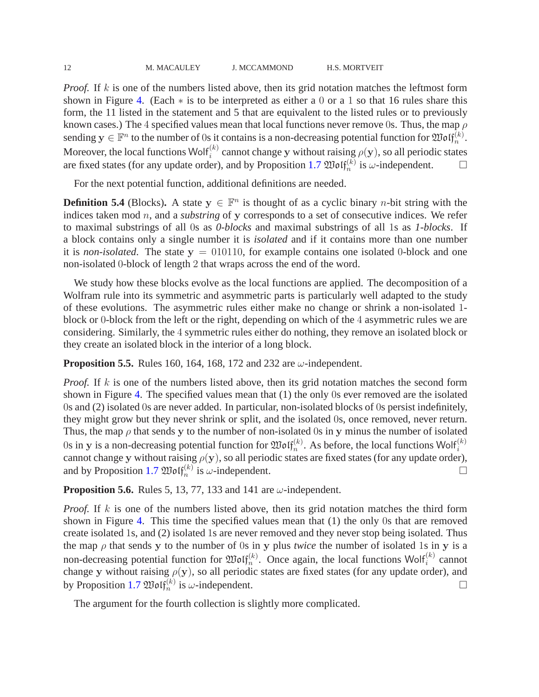*Proof.* If k is one of the numbers listed above, then its grid notation matches the leftmost form shown in Figure [4.](#page-11-1) (Each ∗ is to be interpreted as either a 0 or a 1 so that 16 rules share this form, the 11 listed in the statement and 5 that are equivalent to the listed rules or to previously known cases.) The 4 specified values mean that local functions never remove 0s. Thus, the map  $\rho$ sending  $y \in \mathbb{F}^n$  to the number of 0s it contains is a non-decreasing potential function for  $\mathfrak{Mod}(\mathfrak{f}_n^{(k)})$ . Moreover, the local functions Wolf<sup>(k)</sup> cannot change y without raising  $\rho(y)$ , so all periodic states are fixed states (for any update order), and by Proposition [1.7](#page-3-0)  $\mathfrak{W}\mathfrak{of}_{n}^{(k)}$  is  $\omega$ -independent.

For the next potential function, additional definitions are needed.

**Definition 5.4** (Blocks). A state  $y \in \mathbb{F}^n$  is thought of as a cyclic binary *n*-bit string with the indices taken mod n, and a *substring* of y corresponds to a set of consecutive indices. We refer to maximal substrings of all 0s as *0-blocks* and maximal substrings of all 1s as *1-blocks*. If a block contains only a single number it is *isolated* and if it contains more than one number it is *non-isolated*. The state  $y = 010110$ , for example contains one isolated 0-block and one non-isolated 0-block of length 2 that wraps across the end of the word.

We study how these blocks evolve as the local functions are applied. The decomposition of a Wolfram rule into its symmetric and asymmetric parts is particularly well adapted to the study of these evolutions. The asymmetric rules either make no change or shrink a non-isolated 1 block or 0-block from the left or the right, depending on which of the 4 asymmetric rules we are considering. Similarly, the 4 symmetric rules either do nothing, they remove an isolated block or they create an isolated block in the interior of a long block.

**Proposition 5.5.** Rules 160, 164, 168, 172 and 232 are ω-independent.

*Proof.* If k is one of the numbers listed above, then its grid notation matches the second form shown in Figure [4.](#page-11-1) The specified values mean that (1) the only 0s ever removed are the isolated 0s and (2) isolated 0s are never added. In particular, non-isolated blocks of 0s persist indefinitely, they might grow but they never shrink or split, and the isolated 0s, once removed, never return. Thus, the map  $\rho$  that sends y to the number of non-isolated 0s in y minus the number of isolated 0s in y is a non-decreasing potential function for  $\mathfrak{W}\mathfrak{of}_n^{(k)}$ . As before, the local functions Wolf $_i^{(k)}$ cannot change y without raising  $\rho(y)$ , so all periodic states are fixed states (for any update order), and by Proposition [1.7](#page-3-0)  $\mathfrak{W}\mathfrak{of}_n^{(k)}$  is  $\omega$ -independent.

**Proposition 5.6.** Rules 5, 13, 77, 133 and 141 are  $\omega$ -independent.

*Proof.* If k is one of the numbers listed above, then its grid notation matches the third form shown in Figure [4.](#page-11-1) This time the specified values mean that (1) the only 0s that are removed create isolated 1s, and (2) isolated 1s are never removed and they never stop being isolated. Thus the map  $\rho$  that sends y to the number of 0s in y plus *twice* the number of isolated 1s in y is a non-decreasing potential function for  $\mathfrak{W}\mathfrak{olf}_n^{(k)}$ . Once again, the local functions Wolf $_i^{(k)}$  cannot change y without raising  $\rho(y)$ , so all periodic states are fixed states (for any update order), and by Proposition [1.7](#page-3-0)  $\mathfrak{W}\mathfrak{of}_{n}^{(k)}$  is  $\omega$ -independent.

The argument for the fourth collection is slightly more complicated.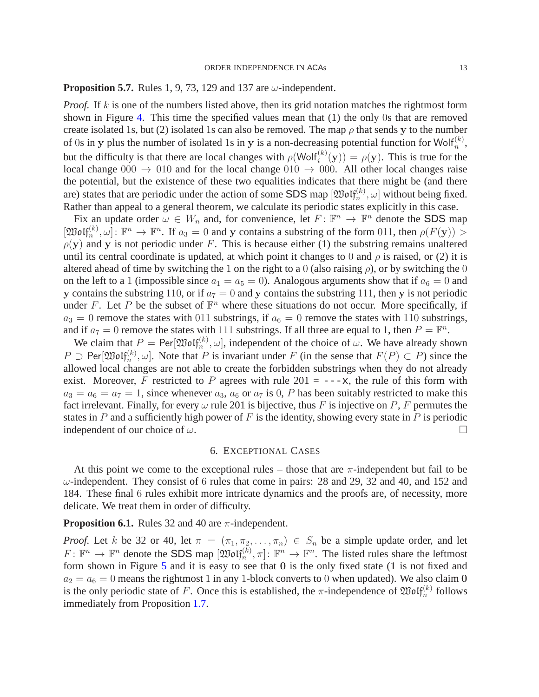#### <span id="page-13-1"></span>**Proposition 5.7.** Rules 1, 9, 73, 129 and 137 are  $\omega$ -independent.

*Proof.* If k is one of the numbers listed above, then its grid notation matches the rightmost form shown in Figure [4.](#page-11-1) This time the specified values mean that (1) the only 0s that are removed create isolated 1s, but (2) isolated 1s can also be removed. The map  $\rho$  that sends y to the number of 0s in y plus the number of isolated 1s in y is a non-decreasing potential function for Wolf<sup>(k)</sup>, but the difficulty is that there are local changes with  $\rho(\text{Wolf}_i^{(k)}(\mathbf{y})) = \rho(\mathbf{y})$ . This is true for the local change  $000 \rightarrow 010$  and for the local change  $010 \rightarrow 000$ . All other local changes raise the potential, but the existence of these two equalities indicates that there might be (and there are) states that are periodic under the action of some SDS map  $[\mathfrak{W}\mathfrak{of}^{(k)}_{n}, \omega]$  without being fixed. Rather than appeal to a general theorem, we calculate its periodic states explicitly in this case.

Fix an update order  $\omega \in W_n$  and, for convenience, let  $F: \mathbb{F}^n \to \mathbb{F}^n$  denote the SDS map  $[\mathfrak{W}\mathfrak{of}^{(k)}_n,\omega]: \mathbb{F}^n \to \mathbb{F}^n$ . If  $a_3 = 0$  and y contains a substring of the form 011, then  $\rho(F(\mathbf{y})) > 0$  $\rho(y)$  and y is not periodic under F. This is because either (1) the substring remains unaltered until its central coordinate is updated, at which point it changes to 0 and  $\rho$  is raised, or (2) it is altered ahead of time by switching the 1 on the right to a 0 (also raising  $\rho$ ), or by switching the 0 on the left to a 1 (impossible since  $a_1 = a_5 = 0$ ). Analogous arguments show that if  $a_6 = 0$  and y contains the substring 110, or if  $a_7 = 0$  and y contains the substring 111, then y is not periodic under F. Let P be the subset of  $\mathbb{F}^n$  where these situations do not occur. More specifically, if  $a_3 = 0$  remove the states with 011 substrings, if  $a_6 = 0$  remove the states with 110 substrings, and if  $a_7 = 0$  remove the states with 111 substrings. If all three are equal to 1, then  $P = \mathbb{F}^n$ .

We claim that  $P = \text{Per}[\mathfrak{W}\mathfrak{of}_n^{(k)}, \omega]$ , independent of the choice of  $\omega$ . We have already shown  $P \supset$  Per $[\mathfrak{W}\mathfrak{of}^{(k)}_n, \omega]$ . Note that P is invariant under F (in the sense that  $F(P) \subset P$ ) since the allowed local changes are not able to create the forbidden substrings when they do not already exist. Moreover, F restricted to P agrees with rule  $201 = -\alpha$ , the rule of this form with  $a_3 = a_6 = a_7 = 1$ , since whenever  $a_3$ ,  $a_6$  or  $a_7$  is 0, P has been suitably restricted to make this fact irrelevant. Finally, for every  $\omega$  rule 201 is bijective, thus F is injective on P, F permutes the states in P and a sufficiently high power of F is the identity, showing every state in P is periodic independent of our choice of  $\omega$ .

#### 6. EXCEPTIONAL CASES

<span id="page-13-0"></span>At this point we come to the exceptional rules – those that are  $\pi$ -independent but fail to be  $\omega$ -independent. They consist of 6 rules that come in pairs: 28 and 29, 32 and 40, and 152 and 184. These final 6 rules exhibit more intricate dynamics and the proofs are, of necessity, more delicate. We treat them in order of difficulty.

**Proposition 6.1.** Rules 32 and 40 are  $\pi$ -independent.

*Proof.* Let k be 32 or 40, let  $\pi = (\pi_1, \pi_2, \ldots, \pi_n) \in S_n$  be a simple update order, and let  $F: \mathbb{F}^n \to \mathbb{F}^n$  denote the SDS map  $[\mathfrak{W}\mathfrak{of}^{(k)}_n, \pi] \colon \mathbb{F}^n \to \mathbb{F}^n$ . The listed rules share the leftmost form shown in Figure  $5$  and it is easy to see that  $0$  is the only fixed state (1 is not fixed and  $a_2 = a_6 = 0$  means the rightmost 1 in any 1-block converts to 0 when updated). We also claim 0 is the only periodic state of F. Once this is established, the  $\pi$ -independence of  $\mathfrak{W}\mathfrak{of}_{n}^{(k)}$  follows immediately from Proposition [1.7.](#page-3-0)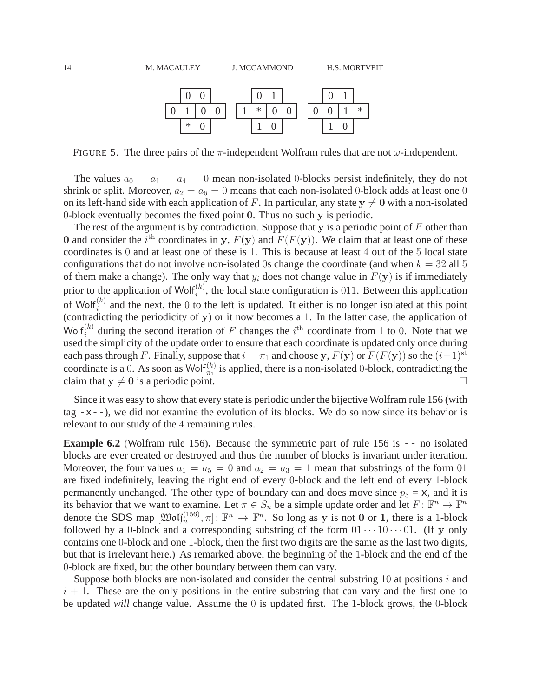

<span id="page-14-0"></span>FIGURE 5. The three pairs of the  $\pi$ -independent Wolfram rules that are not  $\omega$ -independent.

The values  $a_0 = a_1 = a_4 = 0$  mean non-isolated 0-blocks persist indefinitely, they do not shrink or split. Moreover,  $a_2 = a_6 = 0$  means that each non-isolated 0-block adds at least one 0 on its left-hand side with each application of F. In particular, any state  $y \neq 0$  with a non-isolated 0-block eventually becomes the fixed point 0. Thus no such y is periodic.

The rest of the argument is by contradiction. Suppose that y is a periodic point of  $F$  other than 0 and consider the i<sup>th</sup> coordinates in y,  $F(y)$  and  $F(F(y))$ . We claim that at least one of these coordinates is 0 and at least one of these is 1. This is because at least 4 out of the 5 local state configurations that do not involve non-isolated 0s change the coordinate (and when  $k = 32$  all 5 of them make a change). The only way that  $y_i$  does not change value in  $F(y)$  is if immediately prior to the application of Wolf $_i^{(k)}$ , the local state configuration is 011. Between this application of Wolf<sup>(k)</sup> and the next, the 0 to the left is updated. It either is no longer isolated at this point (contradicting the periodicity of y) or it now becomes a 1. In the latter case, the application of Wolf<sup>(k)</sup> during the second iteration of F changes the i<sup>th</sup> coordinate from 1 to 0. Note that we used the simplicity of the update order to ensure that each coordinate is updated only once during each pass through F. Finally, suppose that  $i = \pi_1$  and choose y,  $F(y)$  or  $F(F(y))$  so the  $(i+1)$ <sup>st</sup> coordinate is a 0. As soon as Wolf $\binom{k}{r_1}$  is applied, there is a non-isolated 0-block, contradicting the claim that  $y \neq 0$  is a periodic point.

Since it was easy to show that every state is periodic under the bijective Wolfram rule 156 (with tag  $-x$ --), we did not examine the evolution of its blocks. We do so now since its behavior is relevant to our study of the 4 remaining rules.

<span id="page-14-1"></span>**Example 6.2** (Wolfram rule 156)**.** Because the symmetric part of rule 156 is -- no isolated blocks are ever created or destroyed and thus the number of blocks is invariant under iteration. Moreover, the four values  $a_1 = a_5 = 0$  and  $a_2 = a_3 = 1$  mean that substrings of the form 01 are fixed indefinitely, leaving the right end of every 0-block and the left end of every 1-block permanently unchanged. The other type of boundary can and does move since  $p_3 = x$ , and it is its behavior that we want to examine. Let  $\pi \in S_n$  be a simple update order and let  $F: \mathbb{F}^n \to \mathbb{F}^n$ denote the SDS map  $[\mathfrak{W}\mathfrak{o}\mathfrak{lf}_n^{(156)}, \pi] \colon \mathbb{F}^n \to \mathbb{F}^n$ . So long as y is not 0 or 1, there is a 1-block followed by a 0-block and a corresponding substring of the form  $01 \cdots 10 \cdots 01$ . (If y only contains one 0-block and one 1-block, then the first two digits are the same as the last two digits, but that is irrelevant here.) As remarked above, the beginning of the 1-block and the end of the 0-block are fixed, but the other boundary between them can vary.

Suppose both blocks are non-isolated and consider the central substring 10 at positions  $i$  and  $i + 1$ . These are the only positions in the entire substring that can vary and the first one to be updated *will* change value. Assume the 0 is updated first. The 1-block grows, the 0-block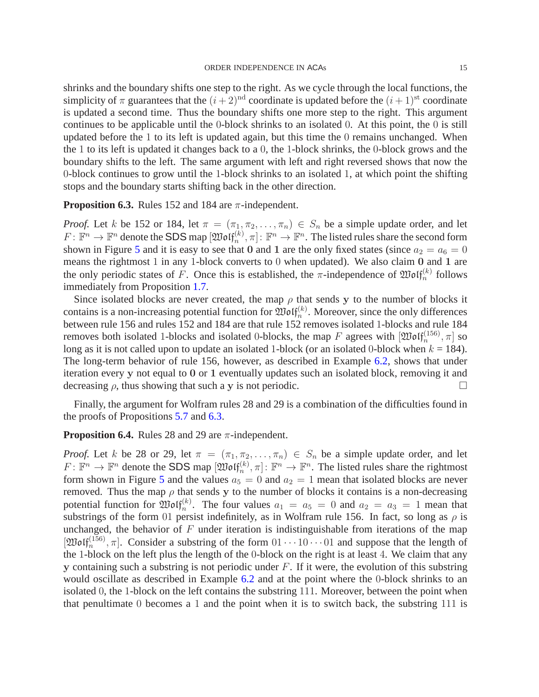shrinks and the boundary shifts one step to the right. As we cycle through the local functions, the simplicity of  $\pi$  guarantees that the  $(i+2)^{nd}$  coordinate is updated before the  $(i+1)^{st}$  coordinate is updated a second time. Thus the boundary shifts one more step to the right. This argument continues to be applicable until the 0-block shrinks to an isolated 0. At this point, the 0 is still updated before the 1 to its left is updated again, but this time the 0 remains unchanged. When the 1 to its left is updated it changes back to a 0, the 1-block shrinks, the 0-block grows and the boundary shifts to the left. The same argument with left and right reversed shows that now the 0-block continues to grow until the 1-block shrinks to an isolated 1, at which point the shifting stops and the boundary starts shifting back in the other direction.

<span id="page-15-0"></span>**Proposition 6.3.** Rules 152 and 184 are  $\pi$ -independent.

*Proof.* Let k be 152 or 184, let  $\pi = (\pi_1, \pi_2, ..., \pi_n) \in S_n$  be a simple update order, and let  $F: \mathbb{F}^n \to \mathbb{F}^n$  denote the SDS map  $[\mathfrak{W}\mathfrak{o}\mathfrak{l} \mathfrak{f}^{(k)}_n, \pi]$ :  $\mathbb{F}^n \to \mathbb{F}^n$ . The listed rules share the second form shown in Figure [5](#page-14-0) and it is easy to see that 0 and 1 are the only fixed states (since  $a_2 = a_6 = 0$ ) means the rightmost 1 in any 1-block converts to 0 when updated). We also claim  $\overline{0}$  and  $\overline{1}$  are the only periodic states of F. Once this is established, the  $\pi$ -independence of  $\mathfrak{W}\mathfrak{of}_{n}^{(k)}$  follows immediately from Proposition [1.7.](#page-3-0)

Since isolated blocks are never created, the map  $\rho$  that sends y to the number of blocks it contains is a non-increasing potential function for  $\mathfrak{Mod}_{n}^{(k)}$ . Moreover, since the only differences between rule 156 and rules 152 and 184 are that rule 152 removes isolated 1-blocks and rule 184 removes both isolated 1-blocks and isolated 0-blocks, the map F agrees with  $[\mathfrak{W}\mathfrak{o}\mathfrak{lf}_n^{(156)},\pi]$  so long as it is not called upon to update an isolated 1-block (or an isolated 0-block when  $k = 184$ ). The long-term behavior of rule 156, however, as described in Example [6.2,](#page-14-1) shows that under iteration every y not equal to 0 or 1 eventually updates such an isolated block, removing it and decreasing  $\rho$ , thus showing that such a y is not periodic.

Finally, the argument for Wolfram rules 28 and 29 is a combination of the difficulties found in the proofs of Propositions [5.7](#page-13-1) and [6.3.](#page-15-0)

#### **Proposition 6.4.** Rules 28 and 29 are  $\pi$ -independent.

*Proof.* Let k be 28 or 29, let  $\pi = (\pi_1, \pi_2, \dots, \pi_n) \in S_n$  be a simple update order, and let  $F: \mathbb{F}^n \to \mathbb{F}^n$  denote the SDS map  $[\mathfrak{W}\mathfrak{o}\mathfrak{l}\mathfrak{f}_n^{(k)}, \pi]$ :  $\mathbb{F}^n \to \mathbb{F}^n$ . The listed rules share the rightmost form shown in Figure [5](#page-14-0) and the values  $a_5 = 0$  and  $a_2 = 1$  mean that isolated blocks are never removed. Thus the map  $\rho$  that sends y to the number of blocks it contains is a non-decreasing potential function for  $\mathfrak{W}\mathfrak{of}_{n}^{(k)}$ . The four values  $a_1 = a_5 = 0$  and  $a_2 = a_3 = 1$  mean that substrings of the form 01 persist indefinitely, as in Wolfram rule 156. In fact, so long as  $\rho$  is unchanged, the behavior of  $F$  under iteration is indistinguishable from iterations of the map [ $\mathfrak{W}\mathfrak{of}^{(156)}_{n}, \pi]$ . Consider a substring of the form  $01 \cdots 10 \cdots 01$  and suppose that the length of the 1-block on the left plus the length of the 0-block on the right is at least 4. We claim that any y containing such a substring is not periodic under  $F$ . If it were, the evolution of this substring would oscillate as described in Example [6.2](#page-14-1) and at the point where the 0-block shrinks to an isolated 0, the 1-block on the left contains the substring 111. Moreover, between the point when that penultimate 0 becomes a 1 and the point when it is to switch back, the substring 111 is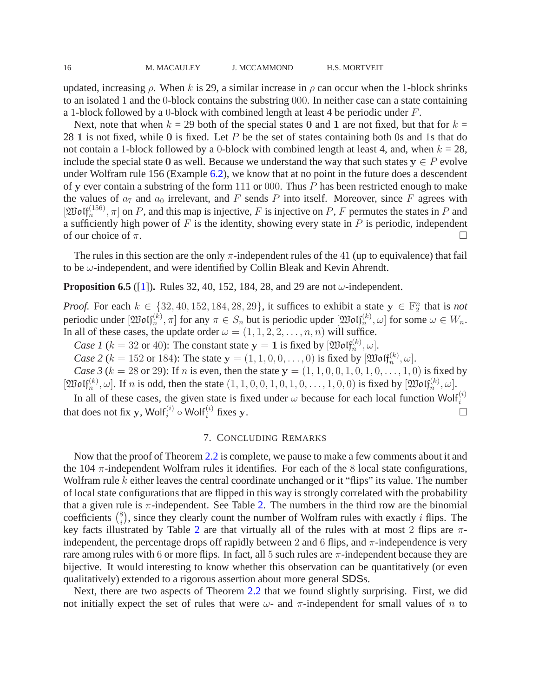updated, increasing  $\rho$ . When k is 29, a similar increase in  $\rho$  can occur when the 1-block shrinks to an isolated 1 and the 0-block contains the substring 000. In neither case can a state containing a 1-block followed by a 0-block with combined length at least 4 be periodic under  $F$ .

Next, note that when  $k = 29$  both of the special states 0 and 1 are not fixed, but that for  $k =$ 28 1 is not fixed, while 0 is fixed. Let  $P$  be the set of states containing both 0s and 1s that do not contain a 1-block followed by a 0-block with combined length at least 4, and, when  $k = 28$ , include the special state 0 as well. Because we understand the way that such states  $y \in P$  evolve under Wolfram rule 156 (Example [6.2\)](#page-14-1), we know that at no point in the future does a descendent of y ever contain a substring of the form 111 or 000. Thus  $P$  has been restricted enough to make the values of  $a_7$  and  $a_0$  irrelevant, and F sends P into itself. Moreover, since F agrees with  $[\mathfrak{W}\mathfrak{of}^{(156)}_n, \pi]$  on P, and this map is injective, F is injective on P, F permutes the states in P and a sufficiently high power of  $F$  is the identity, showing every state in  $P$  is periodic, independent of our choice of  $\pi$ .

The rules in this section are the only  $\pi$ -independent rules of the 41 (up to equivalence) that fail to be  $\omega$ -independent, and were identified by Collin Bleak and Kevin Ahrendt.

**Proposition 6.5** ([\[1\]](#page-17-4)). Rules 32, 40, 152, 184, 28, and 29 are not  $\omega$ -independent.

*Proof.* For each  $k \in \{32, 40, 152, 184, 28, 29\}$ , it suffices to exhibit a state  $y \in \mathbb{F}_2^n$  $n/2$  that is *not* periodic under  $[\mathfrak{W}\mathfrak{o}\mathfrak{l} \mathfrak{f}^{(k)}_n, \pi]$  for any  $\pi \in S_n$  but is periodic upder  $[\mathfrak{W}\mathfrak{o}\mathfrak{l} \mathfrak{f}^{(k)}_n, \omega]$  for some  $\omega \in W_n$ . In all of these cases, the update order  $\omega = (1, 1, 2, 2, \dots, n, n)$  will suffice.

*Case 1* ( $k = 32$  or 40): The constant state  $y = 1$  is fixed by  $[\mathfrak{W}\mathfrak{of} \mathfrak{f}_n^{(k)}, \omega]$ .

*Case 2* ( $k = 152$  or 184): The state  $y = (1, 1, 0, 0, \ldots, 0)$  is fixed by  $[\mathfrak{Mod}_n^{(k)}, \omega]$ .

*Case 3* ( $k = 28$  or 29): If *n* is even, then the state  $y = (1, 1, 0, 0, 1, 0, 1, 0, \ldots, 1, 0)$  is fixed by  $[\mathfrak{W}\textup{off}_n^{(k)}, \omega]$ . If n is odd, then the state  $(1, 1, 0, 0, 1, 0, 1, 0, \ldots, 1, 0, 0)$  is fixed by  $[\mathfrak{W}\textup{off}_n^{(k)}, \omega]$ .

In all of these cases, the given state is fixed under  $\omega$  because for each local function Wolf<sup>(i)</sup> that does not fix y, Wolf<sup>(i)</sup>  $\circ$  Wolf<sup>(i)</sup> fixes y.

### 7. CONCLUDING REMARKS

Now that the proof of Theorem [2.2](#page-5-0) is complete, we pause to make a few comments about it and the 104  $\pi$ -independent Wolfram rules it identifies. For each of the 8 local state configurations, Wolfram rule  $k$  either leaves the central coordinate unchanged or it "flips" its value. The number of local state configurations that are flipped in this way is strongly correlated with the probability that a given rule is  $\pi$ -independent. See Table [2.](#page-17-5) The numbers in the third row are the binomial coefficients  $\binom{8}{i}$ , since they clearly count the number of Wolfram rules with exactly *i* flips. The key facts illustrated by Table [2](#page-17-5) are that virtually all of the rules with at most 2 flips are  $\pi$ independent, the percentage drops off rapidly between 2 and 6 flips, and  $\pi$ -independence is very rare among rules with 6 or more flips. In fact, all 5 such rules are  $\pi$ -independent because they are bijective. It would interesting to know whether this observation can be quantitatively (or even qualitatively) extended to a rigorous assertion about more general SDSs.

Next, there are two aspects of Theorem [2.2](#page-5-0) that we found slightly surprising. First, we did not initially expect the set of rules that were  $\omega$ - and  $\pi$ -independent for small values of n to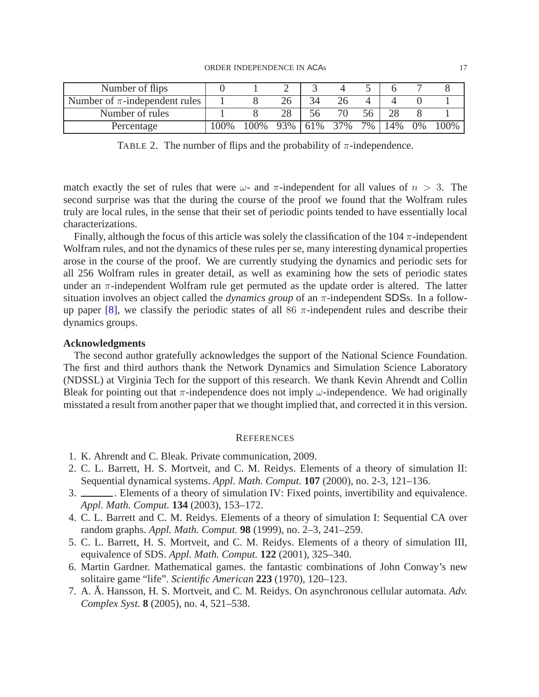| Number of flips                    |         |                 |  |     |     |     |       |  |
|------------------------------------|---------|-----------------|--|-----|-----|-----|-------|--|
| Number of $\pi$ -independent rules |         |                 |  |     |     |     |       |  |
| Number of rules                    |         |                 |  |     | 56. |     |       |  |
| Percentage                         | $100\%$ | 100\% 93\% 61\% |  | 37% | 7%  | 14% | $0\%$ |  |

<span id="page-17-5"></span>TABLE 2. The number of flips and the probability of  $\pi$ -independence.

match exactly the set of rules that were  $\omega$ - and  $\pi$ -independent for all values of  $n > 3$ . The second surprise was that the during the course of the proof we found that the Wolfram rules truly are local rules, in the sense that their set of periodic points tended to have essentially local characterizations.

Finally, although the focus of this article was solely the classification of the 104  $\pi$ -independent Wolfram rules, and not the dynamics of these rules per se, many interesting dynamical properties arose in the course of the proof. We are currently studying the dynamics and periodic sets for all 256 Wolfram rules in greater detail, as well as examining how the sets of periodic states under an  $\pi$ -independent Wolfram rule get permuted as the update order is altered. The latter situation involves an object called the *dynamics group* of an  $\pi$ -independent SDSs. In a follow-up paper [\[8](#page-18-5)], we classify the periodic states of all 86  $\pi$ -independent rules and describe their dynamics groups.

#### **Acknowledgments**

The second author gratefully acknowledges the support of the National Science Foundation. The first and third authors thank the Network Dynamics and Simulation Science Laboratory (NDSSL) at Virginia Tech for the support of this research. We thank Kevin Ahrendt and Collin Bleak for pointing out that  $\pi$ -independence does not imply  $\omega$ -independence. We had originally misstated a result from another paper that we thought implied that, and corrected it in this version.

#### **REFERENCES**

- <span id="page-17-4"></span>1. K. Ahrendt and C. Bleak. Private communication, 2009.
- <span id="page-17-0"></span>2. C. L. Barrett, H. S. Mortveit, and C. M. Reidys. Elements of a theory of simulation II: Sequential dynamical systems. *Appl. Math. Comput.* **107** (2000), no. 2-3, 121–136.
- 3. . Elements of a theory of simulation IV: Fixed points, invertibility and equivalence. *Appl. Math. Comput.* **134** (2003), 153–172.
- 4. C. L. Barrett and C. M. Reidys. Elements of a theory of simulation I: Sequential CA over random graphs. *Appl. Math. Comput.* **98** (1999), no. 2–3, 241–259.
- <span id="page-17-1"></span>5. C. L. Barrett, H. S. Mortveit, and C. M. Reidys. Elements of a theory of simulation III, equivalence of SDS. *Appl. Math. Comput.* **122** (2001), 325–340.
- <span id="page-17-2"></span>6. Martin Gardner. Mathematical games. the fantastic combinations of John Conway's new solitaire game "life". *Scientific American* **223** (1970), 120–123.
- <span id="page-17-3"></span>7. A. Å. Hansson, H. S. Mortveit, and C. M. Reidys. On asynchronous cellular automata. Adv. *Complex Syst.* **8** (2005), no. 4, 521–538.